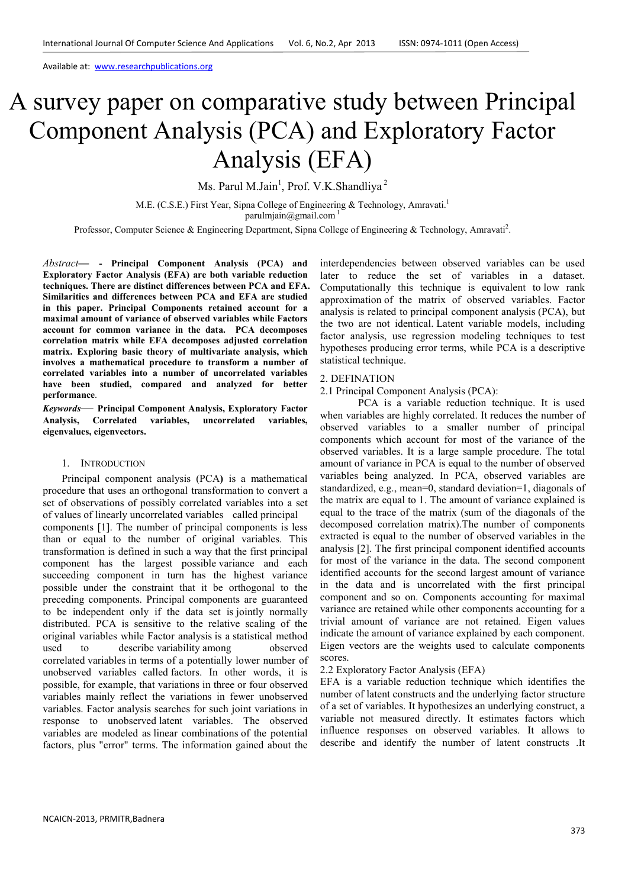Available at: www.researchpublications.org

# A survey paper on comparative study between Principal Component Analysis (PCA) and Exploratory Factor Analysis (EFA)

Ms. Parul M.Jain<sup>1</sup>, Prof. V.K.Shandliya<sup>2</sup>

M.E. (C.S.E.) First Year, Sipna College of Engineering & Technology, Amravati.<sup>1</sup> parulmiain@gmail.com<sup>1</sup>

Professor, Computer Science & Engineering Department, Sipna College of Engineering & Technology, Amravati<sup>2</sup>.

*Abstract***— - Principal Component Analysis (PCA) and Exploratory Factor Analysis (EFA) are both variable reduction techniques. There are distinct differences between PCA and EFA. Similarities and differences between PCA and EFA are studied in this paper. Principal Components retained account for a maximal amount of variance of observed variables while Factors account for common variance in the data. PCA decomposes correlation matrix while EFA decomposes adjusted correlation matrix. Exploring basic theory of multivariate analysis, which involves a mathematical procedure to transform a number of correlated variables into a number of uncorrelated variables have been studied, compared and analyzed for better performance**.

*Keywords*— **Principal Component Analysis, Exploratory Factor Analysis, Correlated variables, uncorrelated variables, eigenvalues, eigenvectors.** 

#### 1. INTRODUCTION

Principal component analysis (PCA**)** is a mathematical procedure that uses an orthogonal transformation to convert a set of observations of possibly correlated variables into a set of values of linearly uncorrelated variables called principal components [1]. The number of principal components is less than or equal to the number of original variables. This transformation is defined in such a way that the first principal component has the largest possible variance and each succeeding component in turn has the highest variance possible under the constraint that it be orthogonal to the preceding components. Principal components are guaranteed to be independent only if the data set is jointly normally distributed. PCA is sensitive to the relative scaling of the original variables while Factor analysis is a statistical method used to describe variability among observed correlated variables in terms of a potentially lower number of unobserved variables called factors. In other words, it is possible, for example, that variations in three or four observed variables mainly reflect the variations in fewer unobserved variables. Factor analysis searches for such joint variations in response to unobserved latent variables. The observed variables are modeled as linear combinations of the potential factors, plus "error" terms. The information gained about the

interdependencies between observed variables can be used later to reduce the set of variables in a dataset. Computationally this technique is equivalent to low rank approximation of the matrix of observed variables. Factor analysis is related to principal component analysis (PCA), but the two are not identical. Latent variable models, including factor analysis, use regression modeling techniques to test hypotheses producing error terms, while PCA is a descriptive statistical technique.

### 2. DEFINATION

2.1 Principal Component Analysis (PCA):

PCA is a variable reduction technique. It is used when variables are highly correlated. It reduces the number of observed variables to a smaller number of principal components which account for most of the variance of the observed variables. It is a large sample procedure. The total amount of variance in PCA is equal to the number of observed variables being analyzed. In PCA, observed variables are standardized, e.g., mean=0, standard deviation=1, diagonals of the matrix are equal to 1. The amount of variance explained is equal to the trace of the matrix (sum of the diagonals of the decomposed correlation matrix).The number of components extracted is equal to the number of observed variables in the analysis [2]. The first principal component identified accounts for most of the variance in the data. The second component identified accounts for the second largest amount of variance in the data and is uncorrelated with the first principal component and so on. Components accounting for maximal variance are retained while other components accounting for a trivial amount of variance are not retained. Eigen values indicate the amount of variance explained by each component. Eigen vectors are the weights used to calculate components scores.

2.2 Exploratory Factor Analysis (EFA)

EFA is a variable reduction technique which identifies the number of latent constructs and the underlying factor structure of a set of variables. It hypothesizes an underlying construct, a variable not measured directly. It estimates factors which influence responses on observed variables. It allows to describe and identify the number of latent constructs .It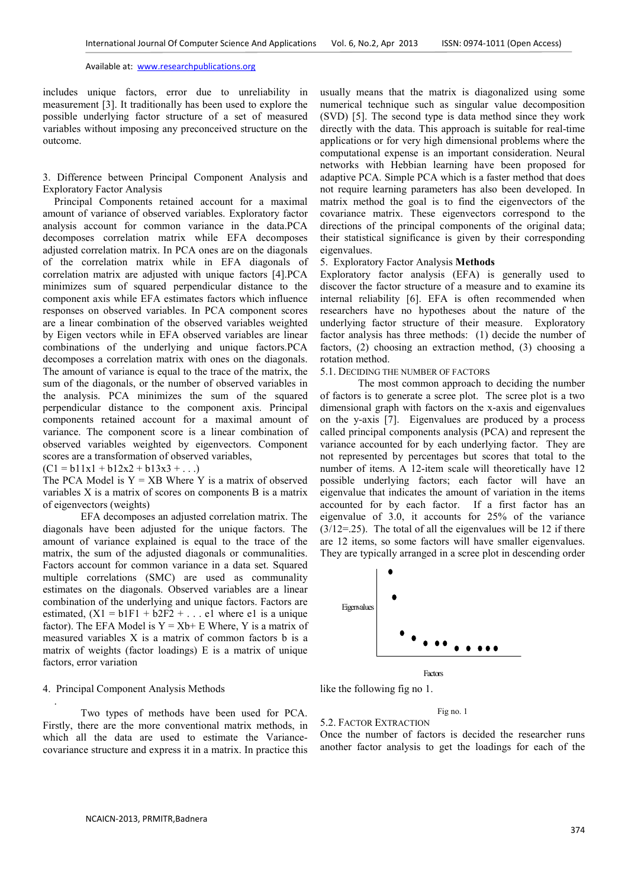Available at: www.researchpublications.org

includes unique factors, error due to unreliability in measurement [3]. It traditionally has been used to explore the possible underlying factor structure of a set of measured variables without imposing any preconceived structure on the outcome.

3. Difference between Principal Component Analysis and Exploratory Factor Analysis

Principal Components retained account for a maximal amount of variance of observed variables. Exploratory factor analysis account for common variance in the data.PCA decomposes correlation matrix while EFA decomposes adjusted correlation matrix. In PCA ones are on the diagonals of the correlation matrix while in EFA diagonals of correlation matrix are adjusted with unique factors [4].PCA minimizes sum of squared perpendicular distance to the component axis while EFA estimates factors which influence responses on observed variables. In PCA component scores are a linear combination of the observed variables weighted by Eigen vectors while in EFA observed variables are linear combinations of the underlying and unique factors.PCA decomposes a correlation matrix with ones on the diagonals. The amount of variance is equal to the trace of the matrix, the sum of the diagonals, or the number of observed variables in the analysis. PCA minimizes the sum of the squared perpendicular distance to the component axis. Principal components retained account for a maximal amount of variance. The component score is a linear combination of observed variables weighted by eigenvectors. Component scores are a transformation of observed variables,

 $(C1 = b11x1 + b12x2 + b13x3 + ...)$ 

The PCA Model is  $Y = XB$  Where Y is a matrix of observed variables X is a matrix of scores on components B is a matrix of eigenvectors (weights)

EFA decomposes an adjusted correlation matrix. The diagonals have been adjusted for the unique factors. The amount of variance explained is equal to the trace of the matrix, the sum of the adjusted diagonals or communalities. Factors account for common variance in a data set. Squared multiple correlations (SMC) are used as communality estimates on the diagonals. Observed variables are a linear combination of the underlying and unique factors. Factors are estimated,  $(X1 = b1F1 + b2F2 + ...$  e1 where e1 is a unique factor). The EFA Model is  $Y = Xb + E$  Where, Y is a matrix of measured variables X is a matrix of common factors b is a matrix of weights (factor loadings) E is a matrix of unique factors, error variation

#### 4. Principal Component Analysis Methods

.

Two types of methods have been used for PCA. Firstly, there are the more conventional matrix methods, in which all the data are used to estimate the Variancecovariance structure and express it in a matrix. In practice this usually means that the matrix is diagonalized using some numerical technique such as singular value decomposition (SVD) [5]. The second type is data method since they work directly with the data. This approach is suitable for real-time applications or for very high dimensional problems where the computational expense is an important consideration. Neural networks with Hebbian learning have been proposed for adaptive PCA. Simple PCA which is a faster method that does not require learning parameters has also been developed. In matrix method the goal is to find the eigenvectors of the covariance matrix. These eigenvectors correspond to the directions of the principal components of the original data; their statistical significance is given by their corresponding eigenvalues.

## 5. Exploratory Factor Analysis **Methods**

Exploratory factor analysis (EFA) is generally used to discover the factor structure of a measure and to examine its internal reliability [6]. EFA is often recommended when researchers have no hypotheses about the nature of the underlying factor structure of their measure. Exploratory factor analysis has three methods: (1) decide the number of factors, (2) choosing an extraction method, (3) choosing a rotation method.

## 5.1. DECIDING THE NUMBER OF FACTORS

The most common approach to deciding the number of factors is to generate a scree plot. The scree plot is a two dimensional graph with factors on the x-axis and eigenvalues on the y-axis [7]. Eigenvalues are produced by a process called principal components analysis (PCA) and represent the variance accounted for by each underlying factor. They are not represented by percentages but scores that total to the number of items. A 12-item scale will theoretically have 12 possible underlying factors; each factor will have an eigenvalue that indicates the amount of variation in the items accounted for by each factor. If a first factor has an eigenvalue of 3.0, it accounts for 25% of the variance  $(3/12=25)$ . The total of all the eigenvalues will be 12 if there are 12 items, so some factors will have smaller eigenvalues. They are typically arranged in a scree plot in descending order



like the following fig no 1.

Fig no. 1 5.2. FACTOR EXTRACTION

Once the number of factors is decided the researcher runs another factor analysis to get the loadings for each of the